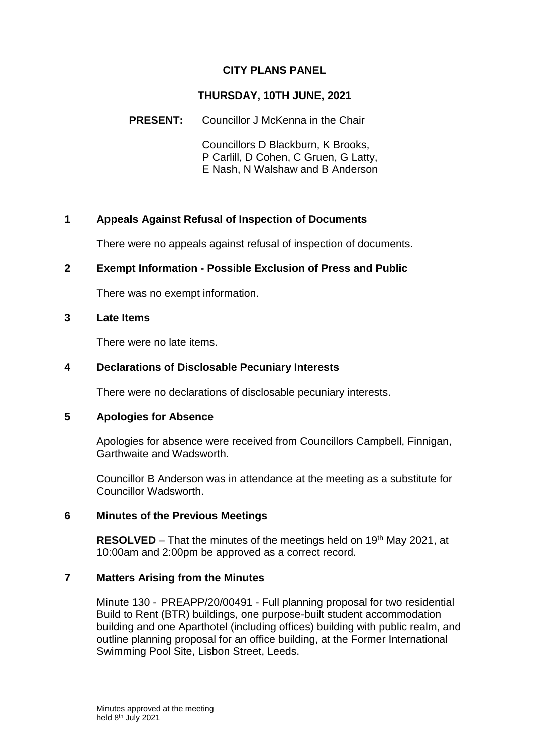## **CITY PLANS PANEL**

### **THURSDAY, 10TH JUNE, 2021**

## **PRESENT:** Councillor J McKenna in the Chair

Councillors D Blackburn, K Brooks, P Carlill, D Cohen, C Gruen, G Latty, E Nash, N Walshaw and B Anderson

## **1 Appeals Against Refusal of Inspection of Documents**

There were no appeals against refusal of inspection of documents.

### **2 Exempt Information - Possible Exclusion of Press and Public**

There was no exempt information.

#### **3 Late Items**

There were no late items.

#### **4 Declarations of Disclosable Pecuniary Interests**

There were no declarations of disclosable pecuniary interests.

#### **5 Apologies for Absence**

Apologies for absence were received from Councillors Campbell, Finnigan, Garthwaite and Wadsworth.

Councillor B Anderson was in attendance at the meeting as a substitute for Councillor Wadsworth.

#### **6 Minutes of the Previous Meetings**

**RESOLVED** – That the minutes of the meetings held on 19<sup>th</sup> May 2021, at 10:00am and 2:00pm be approved as a correct record.

#### **7 Matters Arising from the Minutes**

Minute 130 - PREAPP/20/00491 - Full planning proposal for two residential Build to Rent (BTR) buildings, one purpose-built student accommodation building and one Aparthotel (including offices) building with public realm, and outline planning proposal for an office building, at the Former International Swimming Pool Site, Lisbon Street, Leeds.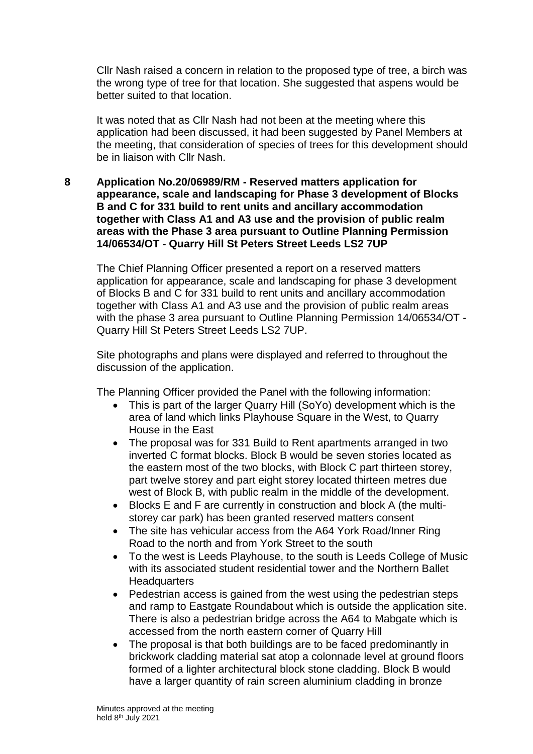Cllr Nash raised a concern in relation to the proposed type of tree, a birch was the wrong type of tree for that location. She suggested that aspens would be better suited to that location.

It was noted that as Cllr Nash had not been at the meeting where this application had been discussed, it had been suggested by Panel Members at the meeting, that consideration of species of trees for this development should be in liaison with Cllr Nash.

**8 Application No.20/06989/RM - Reserved matters application for appearance, scale and landscaping for Phase 3 development of Blocks B and C for 331 build to rent units and ancillary accommodation together with Class A1 and A3 use and the provision of public realm areas with the Phase 3 area pursuant to Outline Planning Permission 14/06534/OT - Quarry Hill St Peters Street Leeds LS2 7UP**

The Chief Planning Officer presented a report on a reserved matters application for appearance, scale and landscaping for phase 3 development of Blocks B and C for 331 build to rent units and ancillary accommodation together with Class A1 and A3 use and the provision of public realm areas with the phase 3 area pursuant to Outline Planning Permission 14/06534/OT - Quarry Hill St Peters Street Leeds LS2 7UP.

Site photographs and plans were displayed and referred to throughout the discussion of the application.

The Planning Officer provided the Panel with the following information:

- This is part of the larger Quarry Hill (SoYo) development which is the area of land which links Playhouse Square in the West, to Quarry House in the East
- The proposal was for 331 Build to Rent apartments arranged in two inverted C format blocks. Block B would be seven stories located as the eastern most of the two blocks, with Block C part thirteen storey, part twelve storey and part eight storey located thirteen metres due west of Block B, with public realm in the middle of the development.
- Blocks E and F are currently in construction and block A (the multistorey car park) has been granted reserved matters consent
- The site has vehicular access from the A64 York Road/Inner Ring Road to the north and from York Street to the south
- To the west is Leeds Playhouse, to the south is Leeds College of Music with its associated student residential tower and the Northern Ballet **Headquarters**
- Pedestrian access is gained from the west using the pedestrian steps and ramp to Eastgate Roundabout which is outside the application site. There is also a pedestrian bridge across the A64 to Mabgate which is accessed from the north eastern corner of Quarry Hill
- The proposal is that both buildings are to be faced predominantly in brickwork cladding material sat atop a colonnade level at ground floors formed of a lighter architectural block stone cladding. Block B would have a larger quantity of rain screen aluminium cladding in bronze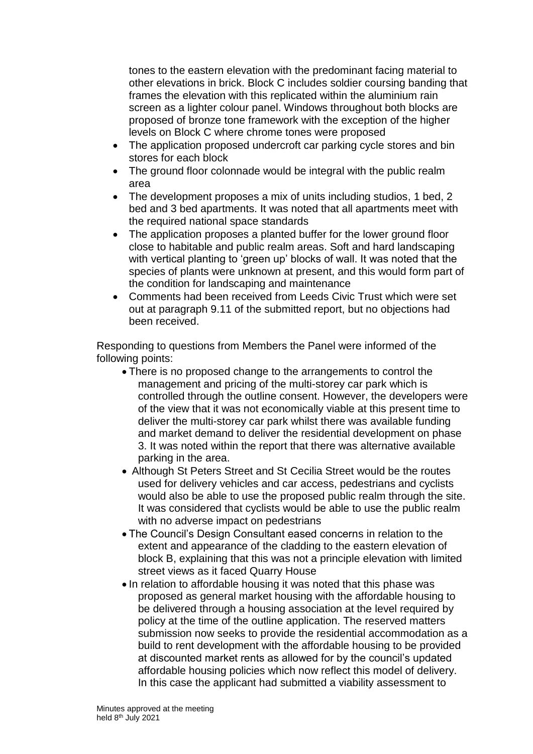tones to the eastern elevation with the predominant facing material to other elevations in brick. Block C includes soldier coursing banding that frames the elevation with this replicated within the aluminium rain screen as a lighter colour panel. Windows throughout both blocks are proposed of bronze tone framework with the exception of the higher levels on Block C where chrome tones were proposed

- The application proposed undercroft car parking cycle stores and bin stores for each block
- The ground floor colonnade would be integral with the public realm area
- The development proposes a mix of units including studios, 1 bed, 2 bed and 3 bed apartments. It was noted that all apartments meet with the required national space standards
- The application proposes a planted buffer for the lower ground floor close to habitable and public realm areas. Soft and hard landscaping with vertical planting to 'green up' blocks of wall. It was noted that the species of plants were unknown at present, and this would form part of the condition for landscaping and maintenance
- Comments had been received from Leeds Civic Trust which were set out at paragraph 9.11 of the submitted report, but no objections had been received.

Responding to questions from Members the Panel were informed of the following points:

- There is no proposed change to the arrangements to control the management and pricing of the multi-storey car park which is controlled through the outline consent. However, the developers were of the view that it was not economically viable at this present time to deliver the multi-storey car park whilst there was available funding and market demand to deliver the residential development on phase 3. It was noted within the report that there was alternative available parking in the area.
- Although St Peters Street and St Cecilia Street would be the routes used for delivery vehicles and car access, pedestrians and cyclists would also be able to use the proposed public realm through the site. It was considered that cyclists would be able to use the public realm with no adverse impact on pedestrians
- The Council's Design Consultant eased concerns in relation to the extent and appearance of the cladding to the eastern elevation of block B, explaining that this was not a principle elevation with limited street views as it faced Quarry House
- In relation to affordable housing it was noted that this phase was proposed as general market housing with the affordable housing to be delivered through a housing association at the level required by policy at the time of the outline application. The reserved matters submission now seeks to provide the residential accommodation as a build to rent development with the affordable housing to be provided at discounted market rents as allowed for by the council's updated affordable housing policies which now reflect this model of delivery. In this case the applicant had submitted a viability assessment to